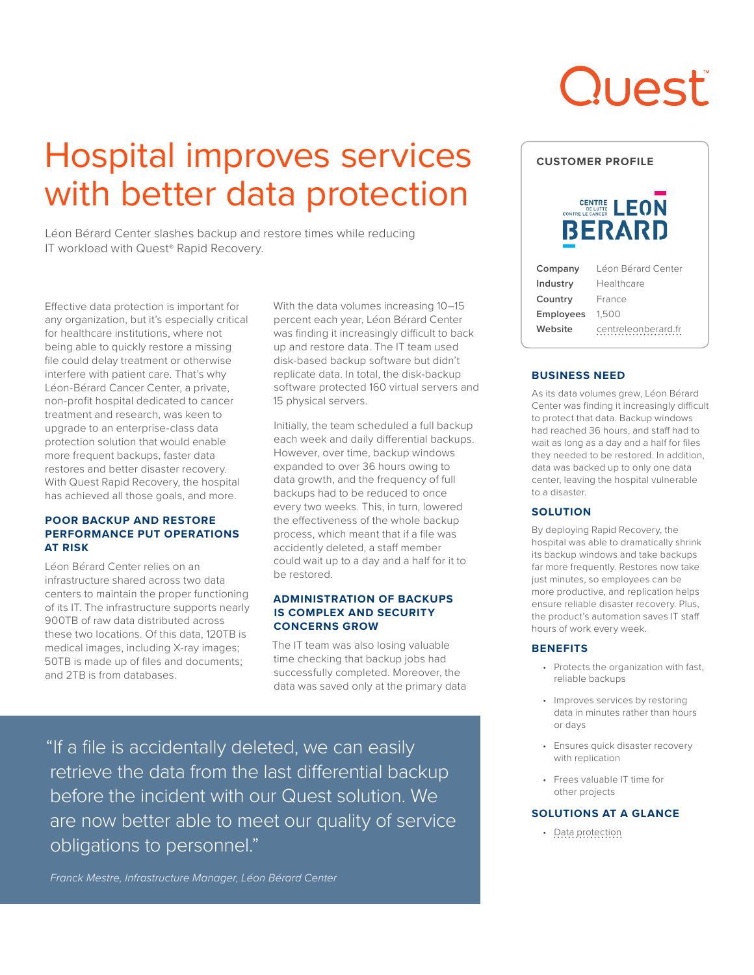# Quest

## Hospital improves services with better data protection

Léon Bérard Center slashes backup and restore times while reducing IT workload with Quest® Rapid Recovery.

Effective data protection is important for any organization, but it's especially critical for healthcare institutions, where not being able to quickly restore a missing file could delay treatment or otherwise interfere with patient care. That's why Léon-Bérard Cancer Center, a private, non-profit hospital dedicated to cancer treatment and research, was keen to upgrade to an enterprise-class data protection solution that would enable more frequent backups, faster data restores and better disaster recovery. With Quest Rapid Recovery, the hospital has achieved all those goals, and more.

#### **POOR BACKUP AND RESTORE PERFORMANCE PUT OPERATIONS AT RISK**

Léon Bérard Center relies on an infrastructure shared across two data centers to maintain the proper functioning of its IT. The infrastructure supports nearly 900TB of raw data distributed across these two locations. Of this data, 120TB is medical images, including X-ray images; 50TB is made up of files and documents; and 2TB is from databases.

With the data volumes increasing 10–15 percent each year, Léon Bérard Center was finding it increasingly difficult to back up and restore data. The IT team used disk-based backup software but didn't replicate data. In total, the disk-backup software protected 160 virtual servers and 15 physical servers.

Initially, the team scheduled a full backup each week and daily differential backups. However, over time, backup windows expanded to over 36 hours owing to data growth, and the frequency of full backups had to be reduced to once every two weeks. This, in turn, lowered the effectiveness of the whole backup process, which meant that if a file was accidently deleted, a staff member could wait up to a day and a half for it to be restored.

#### **ADMINISTRATION OF BACKUPS IS COMPLEX AND SECURITY CONCERNS GROW**

The IT team was also losing valuable time checking that backup jobs had successfully completed. Moreover, the data was saved only at the primary data

"If a file is accidentally deleted, we can easily retrieve the data from the last differential backup before the incident with our Quest solution. We are now better able to meet our quality of service obligations to personnel."

*Franck Mestre, Infrastructure Manager, Léon Bérard Center*



#### **BUSINESS NEED**

As its data volumes grew, Léon Bérard Center was finding it increasingly difficult to protect that data. Backup windows had reached 36 hours, and staff had to wait as long as a day and a half for files they needed to be restored. In addition, data was backed up to only one data center, leaving the hospital vulnerable to a disaster.

#### **SOLUTION**

By deploying Rapid Recovery, the hospital was able to dramatically shrink its backup windows and take backups far more frequently. Restores now take just minutes, so employees can be more productive, and replication helps ensure reliable disaster recovery. Plus, the product's automation saves IT staff hours of work every week.

#### **BENEFITS**

- Protects the organization with fast, reliable backups
- Improves services by restoring data in minutes rather than hours or days
- Ensures quick disaster recovery with replication
- Frees valuable IT time for other projects

#### **SOLUTIONS AT A GLANCE**

• [Data protection](https://www.quest.com/solutions/data-protection/)